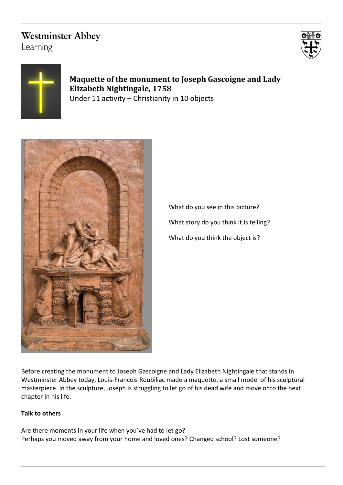# **Westminster Abbey**

Learning





**Maquette of the monument to Joseph Gascoigne and Lady Elizabeth Nightingale, 1758** Under 11 activity – Christianity in 10 objects



What do you see in this picture? What story do you think it is telling? What do you think the object is?

Before creating the monument to Joseph Gascoigne and Lady Elizabeth Nightingale that stands in Westminster Abbey today, Louis-Francois Roubiliac made a maquette, a small model of his sculptural masterpiece. In the sculpture, Joseph is struggling to let go of his dead wife and move onto the next chapter in his life.

## **Talk to others**

Are there moments in your life when you've had to let go? Perhaps you moved away from your home and loved ones? Changed school? Lost someone?